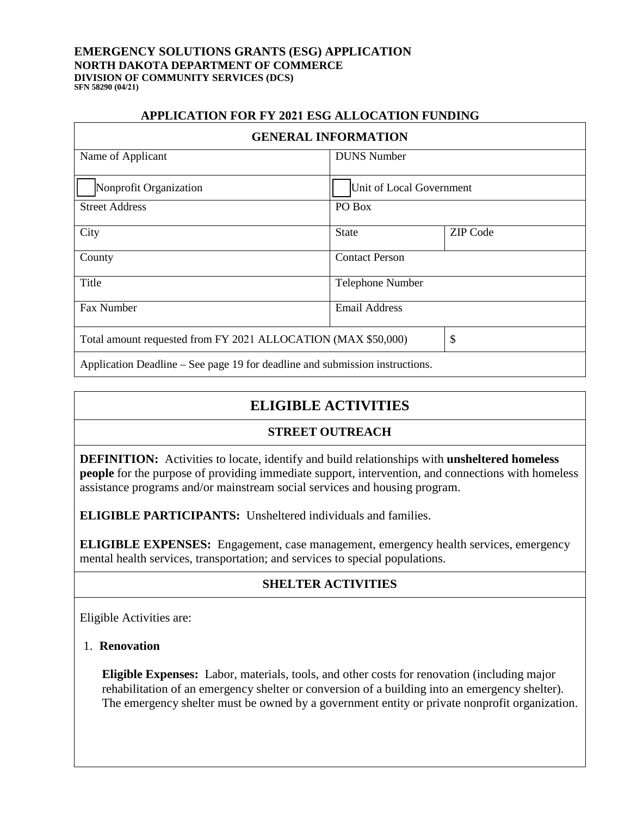#### **EMERGENCY SOLUTIONS GRANTS (ESG) APPLICATION NORTH DAKOTA DEPARTMENT OF COMMERCE DIVISION OF COMMUNITY SERVICES (DCS) SFN 58290 (04/21)**

#### **APPLICATION FOR FY 2021 ESG ALLOCATION FUNDING**

| <b>GENERAL INFORMATION</b>                                                   |                          |                 |
|------------------------------------------------------------------------------|--------------------------|-----------------|
| Name of Applicant                                                            | <b>DUNS</b> Number       |                 |
|                                                                              |                          |                 |
| Nonprofit Organization                                                       | Unit of Local Government |                 |
| <b>Street Address</b>                                                        | PO Box                   |                 |
| City                                                                         | <b>State</b>             | <b>ZIP</b> Code |
| County                                                                       | <b>Contact Person</b>    |                 |
| Title<br><b>Telephone Number</b>                                             |                          |                 |
| Fax Number<br><b>Email Address</b>                                           |                          |                 |
| \$<br>Total amount requested from FY 2021 ALLOCATION (MAX \$50,000)          |                          |                 |
| Application Deadline – See page 19 for deadline and submission instructions. |                          |                 |

## **ELIGIBLE ACTIVITIES**

#### **STREET OUTREACH**

**DEFINITION:** Activities to locate, identify and build relationships with **unsheltered homeless people** for the purpose of providing immediate support, intervention, and connections with homeless assistance programs and/or mainstream social services and housing program.

**ELIGIBLE PARTICIPANTS:** Unsheltered individuals and families.

**ELIGIBLE EXPENSES:** Engagement, case management, emergency health services, emergency mental health services, transportation; and services to special populations.

### **SHELTER ACTIVITIES**

Eligible Activities are:

### 1. **Renovation**

**Eligible Expenses:**Labor, materials, tools, and other costs for renovation (including major rehabilitation of an emergency shelter or conversion of a building into an emergency shelter). The emergency shelter must be owned by a government entity or private nonprofit organization.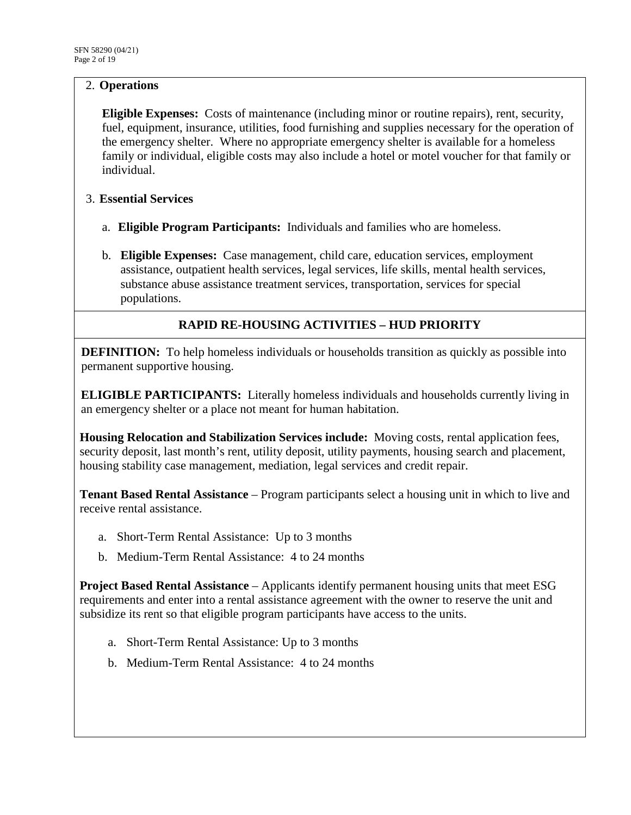## 2. **Operations**

**Eligible Expenses:** Costs of maintenance (including minor or routine repairs), rent, security, fuel, equipment, insurance, utilities, food furnishing and supplies necessary for the operation of the emergency shelter. Where no appropriate emergency shelter is available for a homeless family or individual, eligible costs may also include a hotel or motel voucher for that family or individual.

### 3. **Essential Services**

- a. **Eligible Program Participants:** Individuals and families who are homeless.
- b. **Eligible Expenses:** Case management, child care, education services, employment assistance, outpatient health services, legal services, life skills, mental health services, substance abuse assistance treatment services, transportation, services for special populations.

## **RAPID RE-HOUSING ACTIVITIES – HUD PRIORITY**

**DEFINITION:** To help homeless individuals or households transition as quickly as possible into permanent supportive housing.

**ELIGIBLE PARTICIPANTS:** Literally homeless individuals and households currently living in an emergency shelter or a place not meant for human habitation.

**Housing Relocation and Stabilization Services include:** Moving costs, rental application fees, security deposit, last month's rent, utility deposit, utility payments, housing search and placement, housing stability case management, mediation, legal services and credit repair.

**Tenant Based Rental Assistance** – Program participants select a housing unit in which to live and receive rental assistance.

- a. Short-Term Rental Assistance: Up to 3 months
- b. Medium-Term Rental Assistance: 4 to 24 months

**Project Based Rental Assistance** – Applicants identify permanent housing units that meet ESG requirements and enter into a rental assistance agreement with the owner to reserve the unit and subsidize its rent so that eligible program participants have access to the units.

- a. Short-Term Rental Assistance: Up to 3 months
- b. Medium-Term Rental Assistance: 4 to 24 months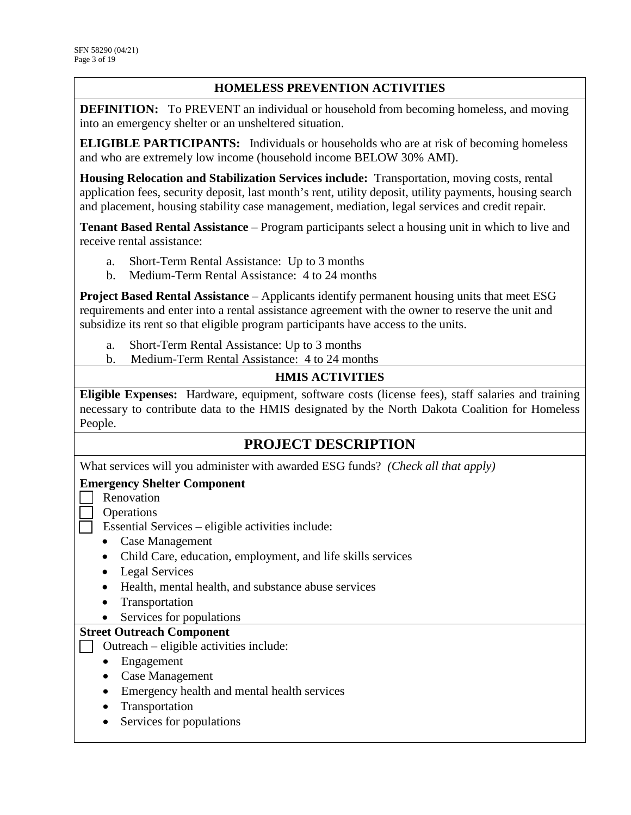## **HOMELESS PREVENTION ACTIVITIES**

**DEFINITION:** To PREVENT an individual or household from becoming homeless, and moving into an emergency shelter or an unsheltered situation.

**ELIGIBLE PARTICIPANTS:** Individuals or households who are at risk of becoming homeless and who are extremely low income (household income BELOW 30% AMI).

**Housing Relocation and Stabilization Services include:** Transportation, moving costs, rental application fees, security deposit, last month's rent, utility deposit, utility payments, housing search and placement, housing stability case management, mediation, legal services and credit repair.

**Tenant Based Rental Assistance** – Program participants select a housing unit in which to live and receive rental assistance:

- a. Short-Term Rental Assistance: Up to 3 months
- b. Medium-Term Rental Assistance: 4 to 24 months

**Project Based Rental Assistance** – Applicants identify permanent housing units that meet ESG requirements and enter into a rental assistance agreement with the owner to reserve the unit and subsidize its rent so that eligible program participants have access to the units.

- a. Short-Term Rental Assistance: Up to 3 months
- b. Medium-Term Rental Assistance: 4 to 24 months

## **HMIS ACTIVITIES**

**Eligible Expenses:** Hardware, equipment, software costs (license fees), staff salaries and training necessary to contribute data to the HMIS designated by the North Dakota Coalition for Homeless People.

## **PROJECT DESCRIPTION**

What services will you administer with awarded ESG funds? *(Check all that apply)*

#### **Emergency Shelter Component**

- **Renovation** 
	- Operations
- $\Box$  Essential Services eligible activities include:
	- Case Management
	- Child Care, education, employment, and life skills services
	- Legal Services
	- Health, mental health, and substance abuse services
	- Transportation
	- Services for populations

#### **Street Outreach Component**

- $\Box$  Outreach eligible activities include:
	- Engagement
	- Case Management
	- Emergency health and mental health services
	- Transportation
	- Services for populations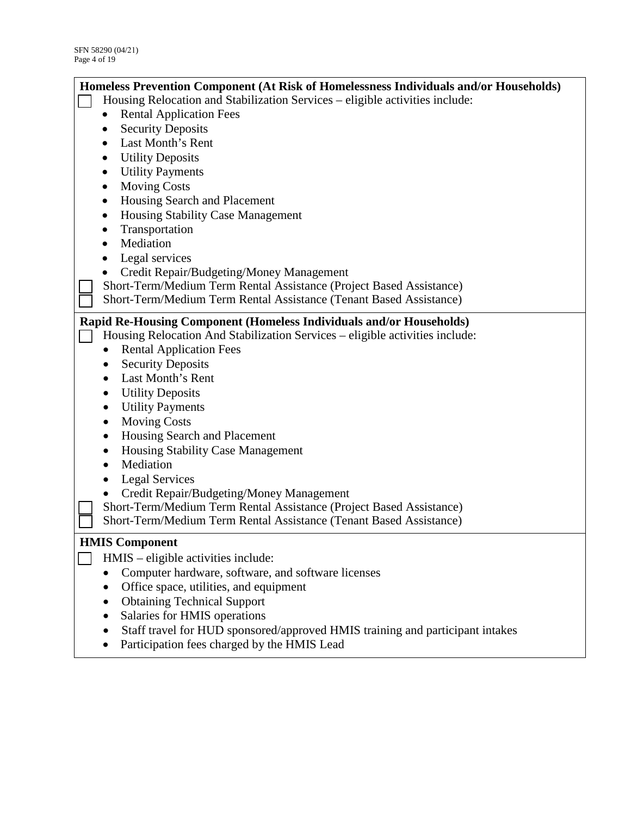| Homeless Prevention Component (At Risk of Homelessness Individuals and/or Households) |                                                                               |  |  |
|---------------------------------------------------------------------------------------|-------------------------------------------------------------------------------|--|--|
| Housing Relocation and Stabilization Services – eligible activities include:          |                                                                               |  |  |
|                                                                                       | <b>Rental Application Fees</b><br>٠                                           |  |  |
|                                                                                       | <b>Security Deposits</b>                                                      |  |  |
|                                                                                       | Last Month's Rent                                                             |  |  |
|                                                                                       | <b>Utility Deposits</b>                                                       |  |  |
|                                                                                       | <b>Utility Payments</b>                                                       |  |  |
|                                                                                       | <b>Moving Costs</b><br>٠                                                      |  |  |
|                                                                                       | Housing Search and Placement<br>$\bullet$                                     |  |  |
|                                                                                       | Housing Stability Case Management<br>$\bullet$                                |  |  |
|                                                                                       | Transportation                                                                |  |  |
|                                                                                       | Mediation                                                                     |  |  |
|                                                                                       | Legal services                                                                |  |  |
|                                                                                       | Credit Repair/Budgeting/Money Management                                      |  |  |
|                                                                                       | Short-Term/Medium Term Rental Assistance (Project Based Assistance)           |  |  |
|                                                                                       | Short-Term/Medium Term Rental Assistance (Tenant Based Assistance)            |  |  |
|                                                                                       |                                                                               |  |  |
|                                                                                       | Rapid Re-Housing Component (Homeless Individuals and/or Households)           |  |  |
|                                                                                       | Housing Relocation And Stabilization Services - eligible activities include:  |  |  |
|                                                                                       | <b>Rental Application Fees</b>                                                |  |  |
|                                                                                       | <b>Security Deposits</b>                                                      |  |  |
|                                                                                       | Last Month's Rent                                                             |  |  |
|                                                                                       | <b>Utility Deposits</b>                                                       |  |  |
|                                                                                       | <b>Utility Payments</b>                                                       |  |  |
|                                                                                       | <b>Moving Costs</b><br>٠                                                      |  |  |
|                                                                                       | Housing Search and Placement                                                  |  |  |
|                                                                                       | <b>Housing Stability Case Management</b>                                      |  |  |
|                                                                                       | Mediation                                                                     |  |  |
|                                                                                       | <b>Legal Services</b>                                                         |  |  |
|                                                                                       | Credit Repair/Budgeting/Money Management                                      |  |  |
|                                                                                       | Short-Term/Medium Term Rental Assistance (Project Based Assistance)           |  |  |
|                                                                                       | Short-Term/Medium Term Rental Assistance (Tenant Based Assistance)            |  |  |
| <b>HMIS Component</b>                                                                 |                                                                               |  |  |
|                                                                                       | HMIS - eligible activities include:                                           |  |  |
|                                                                                       | Computer hardware, software, and software licenses                            |  |  |
|                                                                                       | Office space, utilities, and equipment                                        |  |  |
|                                                                                       | <b>Obtaining Technical Support</b>                                            |  |  |
|                                                                                       | Salaries for HMIS operations                                                  |  |  |
|                                                                                       | Staff travel for HUD sponsored/approved HMIS training and participant intakes |  |  |
|                                                                                       | Participation fees charged by the HMIS Lead                                   |  |  |
|                                                                                       |                                                                               |  |  |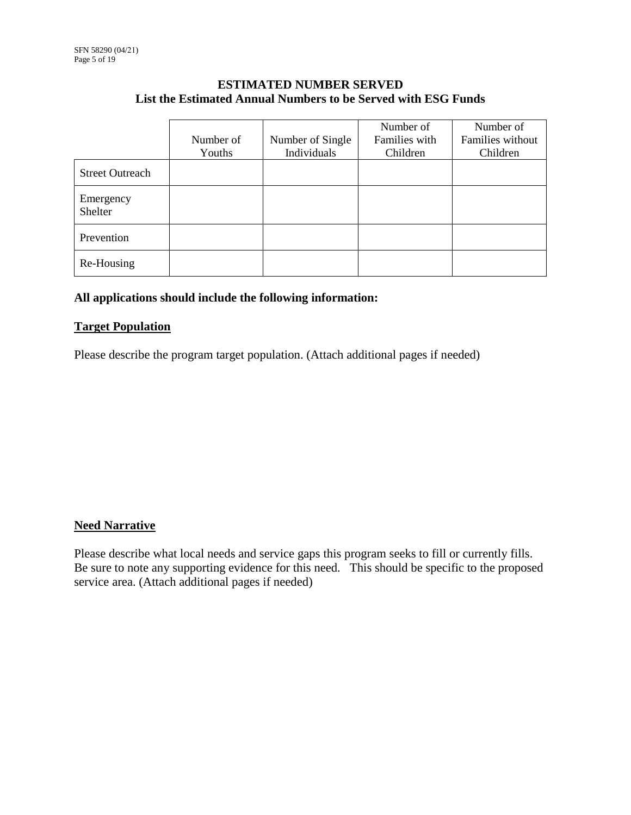#### **ESTIMATED NUMBER SERVED List the Estimated Annual Numbers to be Served with ESG Funds**

|                        | Number of | Number of Single | Number of<br>Families with | Number of<br>Families without |
|------------------------|-----------|------------------|----------------------------|-------------------------------|
|                        | Youths    | Individuals      | Children                   | Children                      |
| <b>Street Outreach</b> |           |                  |                            |                               |
| Emergency<br>Shelter   |           |                  |                            |                               |
| Prevention             |           |                  |                            |                               |
| Re-Housing             |           |                  |                            |                               |

#### **All applications should include the following information:**

#### **Target Population**

Please describe the program target population. (Attach additional pages if needed)

### **Need Narrative**

Please describe what local needs and service gaps this program seeks to fill or currently fills. Be sure to note any supporting evidence for this need. This should be specific to the proposed service area. (Attach additional pages if needed)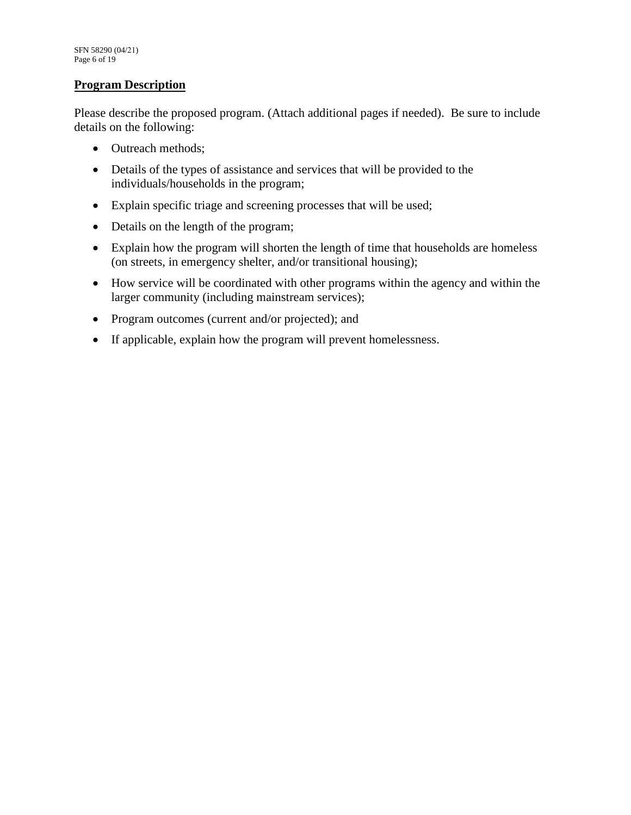#### **Program Description**

Please describe the proposed program. (Attach additional pages if needed). Be sure to include details on the following:

- Outreach methods;
- Details of the types of assistance and services that will be provided to the individuals/households in the program;
- Explain specific triage and screening processes that will be used;
- Details on the length of the program;
- Explain how the program will shorten the length of time that households are homeless (on streets, in emergency shelter, and/or transitional housing);
- How service will be coordinated with other programs within the agency and within the larger community (including mainstream services);
- Program outcomes (current and/or projected); and
- If applicable, explain how the program will prevent homelessness.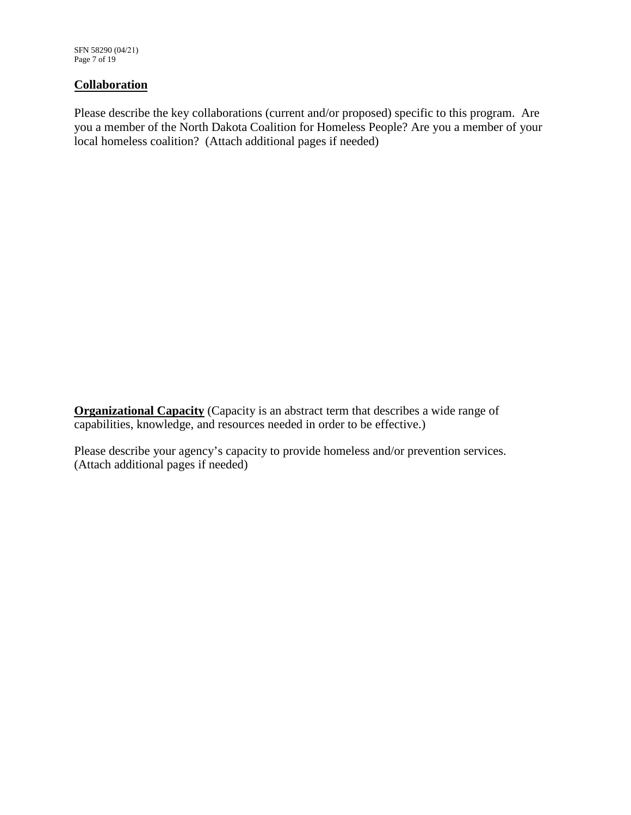SFN 58290 (04/21) Page 7 of 19

#### **Collaboration**

Please describe the key collaborations (current and/or proposed) specific to this program. Are you a member of the North Dakota Coalition for Homeless People? Are you a member of your local homeless coalition? (Attach additional pages if needed)

**Organizational Capacity** (Capacity is an abstract term that describes a wide range of capabilities, knowledge, and resources needed in order to be effective.)

Please describe your agency's capacity to provide homeless and/or prevention services. (Attach additional pages if needed)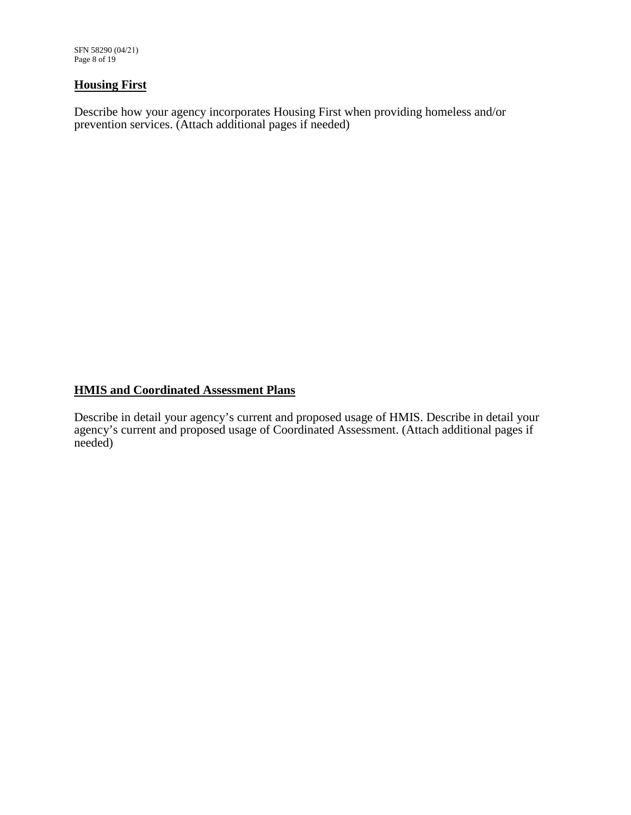SFN 58290 (04/21) Page 8 of 19

#### **Housing First**

Describe how your agency incorporates Housing First when providing homeless and/or prevention services. (Attach additional pages if needed)

## **HMIS and Coordinated Assessment Plans**

Describe in detail your agency's current and proposed usage of HMIS. Describe in detail your agency's current and proposed usage of Coordinated Assessment. (Attach additional pages if needed)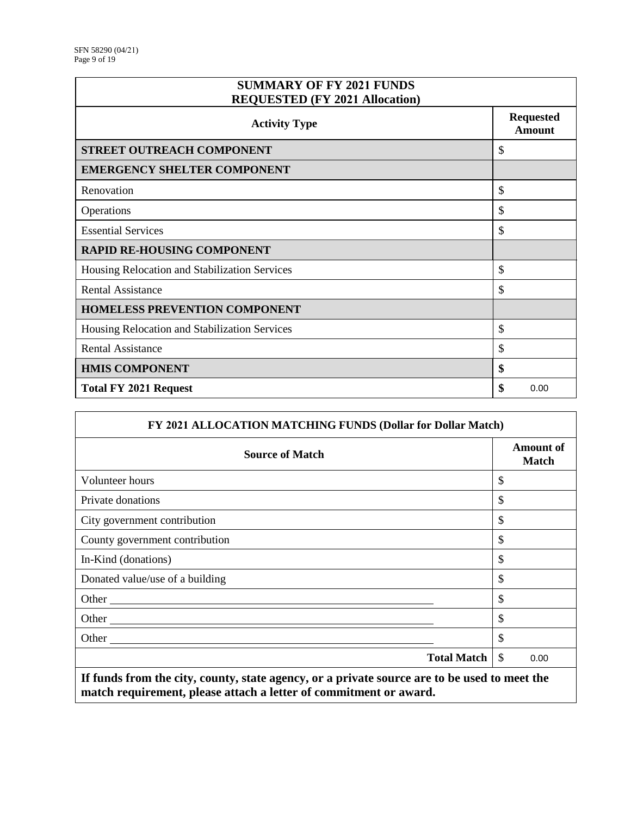| <b>SUMMARY OF FY 2021 FUNDS</b><br><b>REQUESTED (FY 2021 Allocation)</b> |                                   |
|--------------------------------------------------------------------------|-----------------------------------|
| <b>Activity Type</b>                                                     | <b>Requested</b><br><b>Amount</b> |
| STREET OUTREACH COMPONENT                                                | \$                                |
| <b>EMERGENCY SHELTER COMPONENT</b>                                       |                                   |
| Renovation                                                               | \$                                |
| Operations                                                               | \$                                |
| <b>Essential Services</b>                                                | \$                                |
| <b>RAPID RE-HOUSING COMPONENT</b>                                        |                                   |
| Housing Relocation and Stabilization Services                            | \$                                |
| <b>Rental Assistance</b>                                                 | \$                                |
| HOMELESS PREVENTION COMPONENT                                            |                                   |
| Housing Relocation and Stabilization Services                            | \$                                |
| <b>Rental Assistance</b>                                                 | \$                                |
| <b>HMIS COMPONENT</b>                                                    | \$                                |
| <b>Total FY 2021 Request</b>                                             | \$<br>0.00                        |

| FY 2021 ALLOCATION MATCHING FUNDS (Dollar for Dollar Match)                                                                                                       |                           |  |
|-------------------------------------------------------------------------------------------------------------------------------------------------------------------|---------------------------|--|
| <b>Source of Match</b>                                                                                                                                            | Amount of<br><b>Match</b> |  |
| Volunteer hours                                                                                                                                                   | \$                        |  |
| Private donations                                                                                                                                                 | \$                        |  |
| City government contribution                                                                                                                                      | \$                        |  |
| County government contribution                                                                                                                                    | \$                        |  |
| In-Kind (donations)                                                                                                                                               | \$                        |  |
| Donated value/use of a building                                                                                                                                   | \$                        |  |
|                                                                                                                                                                   | \$                        |  |
|                                                                                                                                                                   | \$                        |  |
|                                                                                                                                                                   | \$                        |  |
| <b>Total Match</b>                                                                                                                                                | <sup>\$</sup><br>0.00     |  |
| If funds from the city, county, state agency, or a private source are to be used to meet the<br>match requirement, please attach a letter of commitment or award. |                           |  |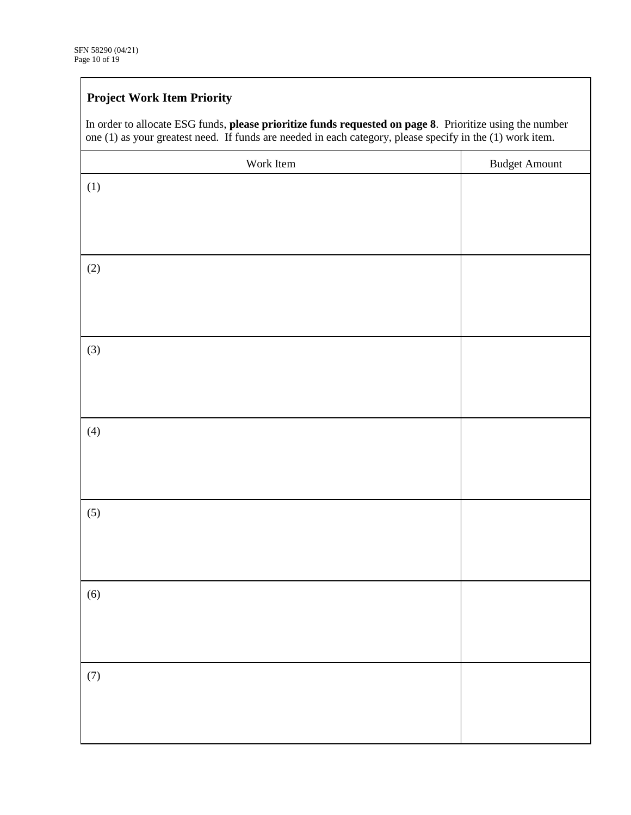# **Project Work Item Priority**

| one (1) as your greatest need. If funds are needed in each category, please specify in the (1) work item. |                      |
|-----------------------------------------------------------------------------------------------------------|----------------------|
| Work Item                                                                                                 | <b>Budget Amount</b> |
| (1)                                                                                                       |                      |
|                                                                                                           |                      |
|                                                                                                           |                      |
|                                                                                                           |                      |
| (2)                                                                                                       |                      |
|                                                                                                           |                      |
|                                                                                                           |                      |
|                                                                                                           |                      |
| (3)                                                                                                       |                      |
|                                                                                                           |                      |
|                                                                                                           |                      |
|                                                                                                           |                      |
| (4)                                                                                                       |                      |
|                                                                                                           |                      |
|                                                                                                           |                      |
|                                                                                                           |                      |
|                                                                                                           |                      |
| (5)                                                                                                       |                      |
|                                                                                                           |                      |
|                                                                                                           |                      |
|                                                                                                           |                      |
| (6)                                                                                                       |                      |
|                                                                                                           |                      |
|                                                                                                           |                      |
|                                                                                                           |                      |
| (7)                                                                                                       |                      |
|                                                                                                           |                      |
|                                                                                                           |                      |
|                                                                                                           |                      |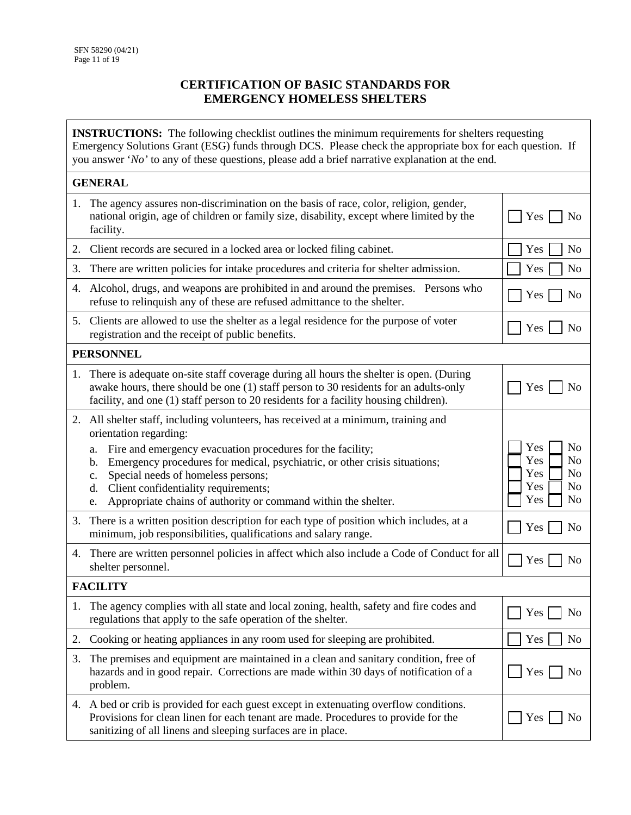#### **CERTIFICATION OF BASIC STANDARDS FOR EMERGENCY HOMELESS SHELTERS**

**INSTRUCTIONS:** The following checklist outlines the minimum requirements for shelters requesting Emergency Solutions Grant (ESG) funds through DCS. Please check the appropriate box for each question. If you answer '*No'* to any of these questions, please add a brief narrative explanation at the end.

| <b>GENERAL</b>  |                                                                                                                                                                                                                                                                                                                                                              |                                                                           |  |  |
|-----------------|--------------------------------------------------------------------------------------------------------------------------------------------------------------------------------------------------------------------------------------------------------------------------------------------------------------------------------------------------------------|---------------------------------------------------------------------------|--|--|
| 1.              | The agency assures non-discrimination on the basis of race, color, religion, gender,<br>national origin, age of children or family size, disability, except where limited by the<br>facility.                                                                                                                                                                | Yes<br>No                                                                 |  |  |
| 2.              | Client records are secured in a locked area or locked filing cabinet.                                                                                                                                                                                                                                                                                        | N <sub>o</sub><br>Yes                                                     |  |  |
| 3.              | There are written policies for intake procedures and criteria for shelter admission.                                                                                                                                                                                                                                                                         | Yes<br>N <sub>0</sub>                                                     |  |  |
| 4.              | Alcohol, drugs, and weapons are prohibited in and around the premises. Persons who<br>refuse to relinquish any of these are refused admittance to the shelter.                                                                                                                                                                                               | Yes<br>N <sub>0</sub>                                                     |  |  |
|                 | 5. Clients are allowed to use the shelter as a legal residence for the purpose of voter<br>registration and the receipt of public benefits.                                                                                                                                                                                                                  | Yes  <br>No                                                               |  |  |
|                 | <b>PERSONNEL</b>                                                                                                                                                                                                                                                                                                                                             |                                                                           |  |  |
| 1.              | There is adequate on-site staff coverage during all hours the shelter is open. (During<br>awake hours, there should be one (1) staff person to 30 residents for an adults-only<br>facility, and one (1) staff person to 20 residents for a facility housing children).                                                                                       | Yes<br>No                                                                 |  |  |
| 2.              | All shelter staff, including volunteers, has received at a minimum, training and                                                                                                                                                                                                                                                                             |                                                                           |  |  |
|                 | orientation regarding:<br>Fire and emergency evacuation procedures for the facility;<br>a.<br>Emergency procedures for medical, psychiatric, or other crisis situations;<br>$\mathbf{b}$ .<br>Special needs of homeless persons;<br>c.<br>Client confidentiality requirements;<br>d.<br>Appropriate chains of authority or command within the shelter.<br>e. | Yes<br>No<br>Yes<br>No<br>Yes<br>No<br>Yes<br>No<br>Yes<br>N <sub>o</sub> |  |  |
| 3.              | There is a written position description for each type of position which includes, at a<br>minimum, job responsibilities, qualifications and salary range.                                                                                                                                                                                                    | Yes<br>N <sub>o</sub>                                                     |  |  |
| 4.              | There are written personnel policies in affect which also include a Code of Conduct for all<br>shelter personnel.                                                                                                                                                                                                                                            | Yes<br>No                                                                 |  |  |
| <b>FACILITY</b> |                                                                                                                                                                                                                                                                                                                                                              |                                                                           |  |  |
| 1.              | The agency complies with all state and local zoning, health, safety and fire codes and<br>regulations that apply to the safe operation of the shelter.                                                                                                                                                                                                       | Yes<br>No                                                                 |  |  |
| 2.              | Cooking or heating appliances in any room used for sleeping are prohibited.                                                                                                                                                                                                                                                                                  | Yes<br>No                                                                 |  |  |
| 3.              | The premises and equipment are maintained in a clean and sanitary condition, free of<br>hazards and in good repair. Corrections are made within 30 days of notification of a<br>problem.                                                                                                                                                                     | Yes  <br>No                                                               |  |  |
| 4.              | A bed or crib is provided for each guest except in extenuating overflow conditions.<br>Provisions for clean linen for each tenant are made. Procedures to provide for the<br>sanitizing of all linens and sleeping surfaces are in place.                                                                                                                    | Yes [<br>No                                                               |  |  |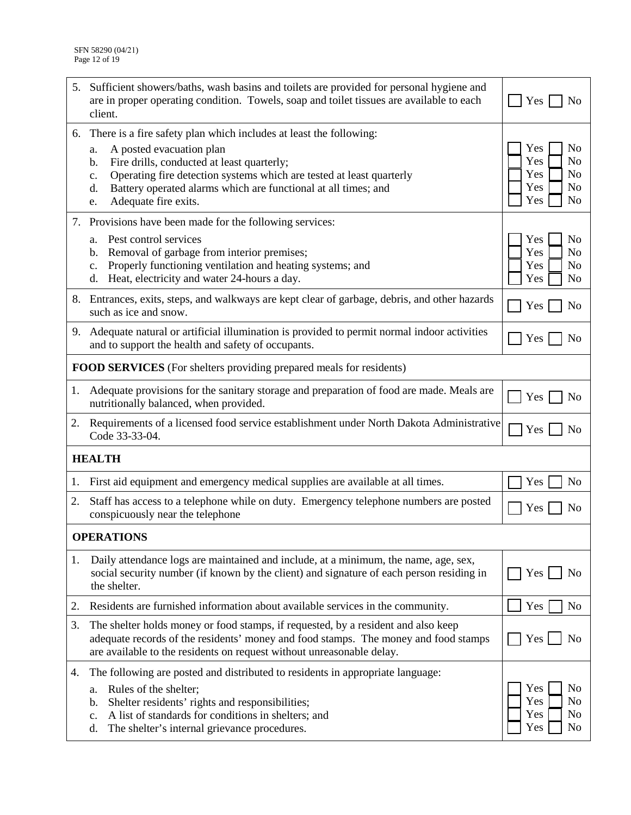| 5. | Sufficient showers/baths, wash basins and toilets are provided for personal hygiene and<br>are in proper operating condition. Towels, soap and toilet tissues are available to each<br>client. | Yes<br>No                                      |  |  |
|----|------------------------------------------------------------------------------------------------------------------------------------------------------------------------------------------------|------------------------------------------------|--|--|
| 6. | There is a fire safety plan which includes at least the following:<br>A posted evacuation plan<br>a.                                                                                           | Yes<br>N <sub>o</sub>                          |  |  |
|    | Fire drills, conducted at least quarterly;<br>b.                                                                                                                                               | Yes<br>N <sub>o</sub>                          |  |  |
|    | Operating fire detection systems which are tested at least quarterly<br>c.<br>Battery operated alarms which are functional at all times; and<br>d.                                             | Yes<br>N <sub>0</sub><br>Yes<br>N <sub>0</sub> |  |  |
|    | Adequate fire exits.<br>e.                                                                                                                                                                     | Yes<br>No                                      |  |  |
|    | 7. Provisions have been made for the following services:                                                                                                                                       |                                                |  |  |
|    | Pest control services<br>a.                                                                                                                                                                    | N <sub>o</sub><br>Yes                          |  |  |
|    | Removal of garbage from interior premises;<br>$\mathbf{b}$ .<br>Properly functioning ventilation and heating systems; and<br>$\mathbf{c}$ .                                                    | Yes<br>No<br>Yes<br>N <sub>0</sub>             |  |  |
|    | Heat, electricity and water 24-hours a day.<br>d.                                                                                                                                              | Yes<br>N <sub>o</sub>                          |  |  |
| 8. | Entrances, exits, steps, and walkways are kept clear of garbage, debris, and other hazards<br>such as ice and snow.                                                                            | N <sub>o</sub><br>Yes                          |  |  |
| 9. | Adequate natural or artificial illumination is provided to permit normal indoor activities<br>and to support the health and safety of occupants.                                               | Yes<br>N <sub>0</sub>                          |  |  |
|    | <b>FOOD SERVICES</b> (For shelters providing prepared meals for residents)                                                                                                                     |                                                |  |  |
| 1. | Adequate provisions for the sanitary storage and preparation of food are made. Meals are<br>nutritionally balanced, when provided.                                                             | Yes<br>No                                      |  |  |
| 2. | Requirements of a licensed food service establishment under North Dakota Administrative<br>Code 33-33-04.                                                                                      | Yes<br>No                                      |  |  |
|    | <b>HEALTH</b>                                                                                                                                                                                  |                                                |  |  |
| 1. | First aid equipment and emergency medical supplies are available at all times.                                                                                                                 | N <sub>o</sub><br>Yes                          |  |  |
| 2. | Staff has access to a telephone while on duty. Emergency telephone numbers are posted<br>conspicuously near the telephone                                                                      | N <sub>o</sub><br>Yes                          |  |  |
|    | <b>OPERATIONS</b>                                                                                                                                                                              |                                                |  |  |
| 1. | Daily attendance logs are maintained and include, at a minimum, the name, age, sex,                                                                                                            | No                                             |  |  |
|    | social security number (if known by the client) and signature of each person residing in<br>the shelter.                                                                                       | Yes                                            |  |  |
| 2. | Residents are furnished information about available services in the community.                                                                                                                 | N <sub>o</sub><br>Yes                          |  |  |
| 3. | The shelter holds money or food stamps, if requested, by a resident and also keep                                                                                                              |                                                |  |  |
|    | adequate records of the residents' money and food stamps. The money and food stamps<br>are available to the residents on request without unreasonable delay.                                   | Yes  <br>N <sub>0</sub>                        |  |  |
| 4. | The following are posted and distributed to residents in appropriate language:                                                                                                                 |                                                |  |  |
|    | Rules of the shelter;<br>a.                                                                                                                                                                    | Yes<br>N <sub>o</sub>                          |  |  |
|    | Shelter residents' rights and responsibilities;<br>b.<br>A list of standards for conditions in shelters; and<br>c.                                                                             | Yes<br>N <sub>o</sub><br>Yes<br>N <sub>0</sub> |  |  |
|    | The shelter's internal grievance procedures.<br>d.                                                                                                                                             | Yes<br>No                                      |  |  |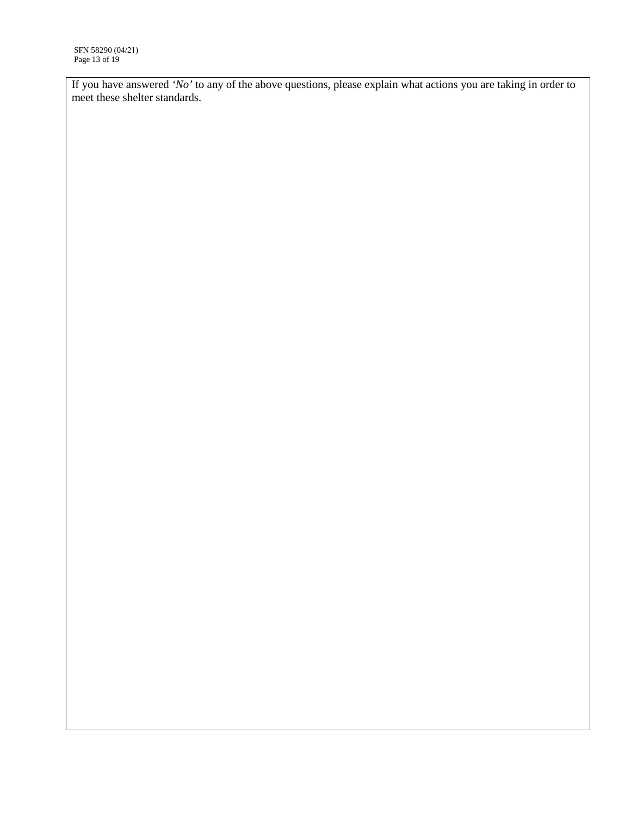If you have answered *'No'* to any of the above questions, please explain what actions you are taking in order to meet these shelter standards.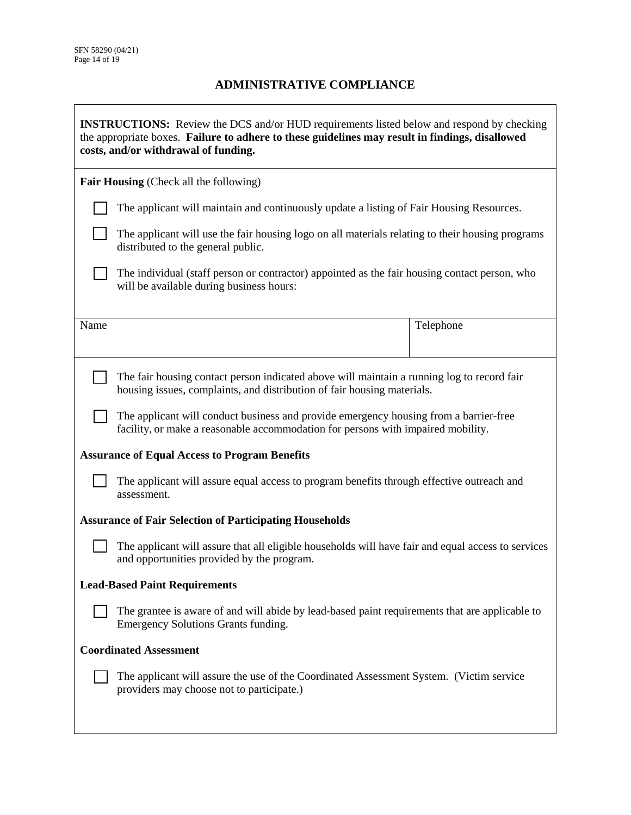## **ADMINISTRATIVE COMPLIANCE**

| <b>INSTRUCTIONS:</b> Review the DCS and/or HUD requirements listed below and respond by checking<br>the appropriate boxes. Failure to adhere to these guidelines may result in findings, disallowed<br>costs, and/or withdrawal of funding. |                                                                                                                                                                           |           |  |
|---------------------------------------------------------------------------------------------------------------------------------------------------------------------------------------------------------------------------------------------|---------------------------------------------------------------------------------------------------------------------------------------------------------------------------|-----------|--|
|                                                                                                                                                                                                                                             | <b>Fair Housing</b> (Check all the following)                                                                                                                             |           |  |
|                                                                                                                                                                                                                                             | The applicant will maintain and continuously update a listing of Fair Housing Resources.                                                                                  |           |  |
|                                                                                                                                                                                                                                             | The applicant will use the fair housing logo on all materials relating to their housing programs<br>distributed to the general public.                                    |           |  |
|                                                                                                                                                                                                                                             | The individual (staff person or contractor) appointed as the fair housing contact person, who<br>will be available during business hours:                                 |           |  |
| Name                                                                                                                                                                                                                                        |                                                                                                                                                                           | Telephone |  |
|                                                                                                                                                                                                                                             | The fair housing contact person indicated above will maintain a running log to record fair<br>housing issues, complaints, and distribution of fair housing materials.     |           |  |
|                                                                                                                                                                                                                                             | The applicant will conduct business and provide emergency housing from a barrier-free<br>facility, or make a reasonable accommodation for persons with impaired mobility. |           |  |
|                                                                                                                                                                                                                                             | <b>Assurance of Equal Access to Program Benefits</b>                                                                                                                      |           |  |
|                                                                                                                                                                                                                                             | The applicant will assure equal access to program benefits through effective outreach and<br>assessment.                                                                  |           |  |
|                                                                                                                                                                                                                                             | <b>Assurance of Fair Selection of Participating Households</b>                                                                                                            |           |  |
|                                                                                                                                                                                                                                             | The applicant will assure that all eligible households will have fair and equal access to services<br>and opportunities provided by the program.                          |           |  |
| <b>Lead-Based Paint Requirements</b>                                                                                                                                                                                                        |                                                                                                                                                                           |           |  |
|                                                                                                                                                                                                                                             | The grantee is aware of and will abide by lead-based paint requirements that are applicable to<br>Emergency Solutions Grants funding.                                     |           |  |
| <b>Coordinated Assessment</b>                                                                                                                                                                                                               |                                                                                                                                                                           |           |  |
| The applicant will assure the use of the Coordinated Assessment System. (Victim service<br>providers may choose not to participate.)                                                                                                        |                                                                                                                                                                           |           |  |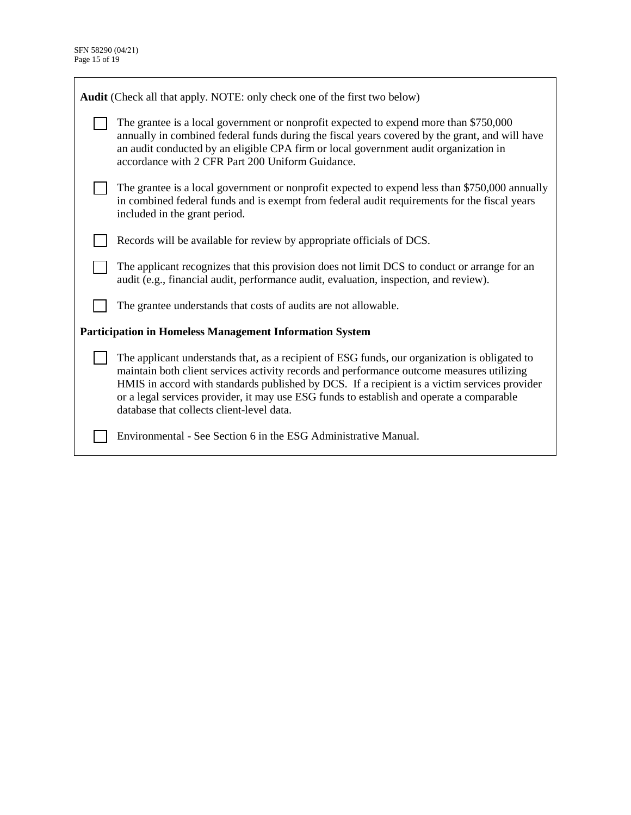| <b>Audit</b> (Check all that apply. NOTE: only check one of the first two below)                                                                                                                                                                                                                                                                                                                                                    |  |  |  |  |
|-------------------------------------------------------------------------------------------------------------------------------------------------------------------------------------------------------------------------------------------------------------------------------------------------------------------------------------------------------------------------------------------------------------------------------------|--|--|--|--|
| The grantee is a local government or nonprofit expected to expend more than \$750,000<br>annually in combined federal funds during the fiscal years covered by the grant, and will have<br>an audit conducted by an eligible CPA firm or local government audit organization in<br>accordance with 2 CFR Part 200 Uniform Guidance.                                                                                                 |  |  |  |  |
| The grantee is a local government or nonprofit expected to expend less than \$750,000 annually<br>in combined federal funds and is exempt from federal audit requirements for the fiscal years<br>included in the grant period.                                                                                                                                                                                                     |  |  |  |  |
| Records will be available for review by appropriate officials of DCS.                                                                                                                                                                                                                                                                                                                                                               |  |  |  |  |
| The applicant recognizes that this provision does not limit DCS to conduct or arrange for an<br>audit (e.g., financial audit, performance audit, evaluation, inspection, and review).                                                                                                                                                                                                                                               |  |  |  |  |
| The grantee understands that costs of audits are not allowable.                                                                                                                                                                                                                                                                                                                                                                     |  |  |  |  |
| <b>Participation in Homeless Management Information System</b>                                                                                                                                                                                                                                                                                                                                                                      |  |  |  |  |
| The applicant understands that, as a recipient of ESG funds, our organization is obligated to<br>maintain both client services activity records and performance outcome measures utilizing<br>HMIS in accord with standards published by DCS. If a recipient is a victim services provider<br>or a legal services provider, it may use ESG funds to establish and operate a comparable<br>database that collects client-level data. |  |  |  |  |
| Environmental - See Section 6 in the ESG Administrative Manual.                                                                                                                                                                                                                                                                                                                                                                     |  |  |  |  |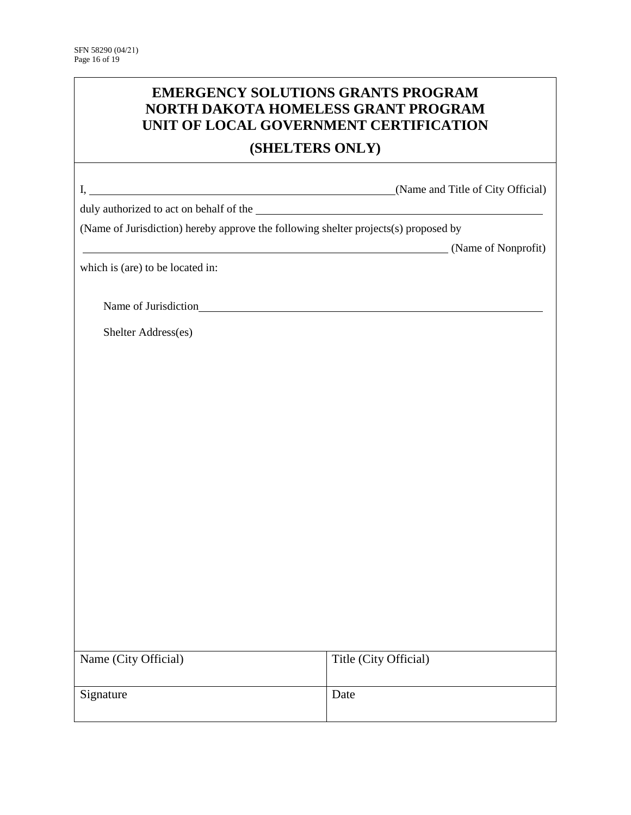| <b>EMERGENCY SOLUTIONS GRANTS PROGRAM</b><br>NORTH DAKOTA HOMELESS GRANT PROGRAM<br>UNIT OF LOCAL GOVERNMENT CERTIFICATION |                       |  |  |
|----------------------------------------------------------------------------------------------------------------------------|-----------------------|--|--|
| (SHELTERS ONLY)                                                                                                            |                       |  |  |
|                                                                                                                            |                       |  |  |
|                                                                                                                            |                       |  |  |
| (Name of Jurisdiction) hereby approve the following shelter projects(s) proposed by                                        |                       |  |  |
| (Name of Nonprofit)                                                                                                        |                       |  |  |
| which is (are) to be located in:                                                                                           |                       |  |  |
|                                                                                                                            |                       |  |  |
| Shelter Address(es)                                                                                                        |                       |  |  |
|                                                                                                                            |                       |  |  |
|                                                                                                                            |                       |  |  |
|                                                                                                                            |                       |  |  |
|                                                                                                                            |                       |  |  |
|                                                                                                                            |                       |  |  |
|                                                                                                                            |                       |  |  |
|                                                                                                                            |                       |  |  |
|                                                                                                                            |                       |  |  |
|                                                                                                                            |                       |  |  |
|                                                                                                                            |                       |  |  |
|                                                                                                                            |                       |  |  |
|                                                                                                                            |                       |  |  |
|                                                                                                                            |                       |  |  |
|                                                                                                                            |                       |  |  |
|                                                                                                                            |                       |  |  |
| Name (City Official)                                                                                                       | Title (City Official) |  |  |
| Signature                                                                                                                  | Date                  |  |  |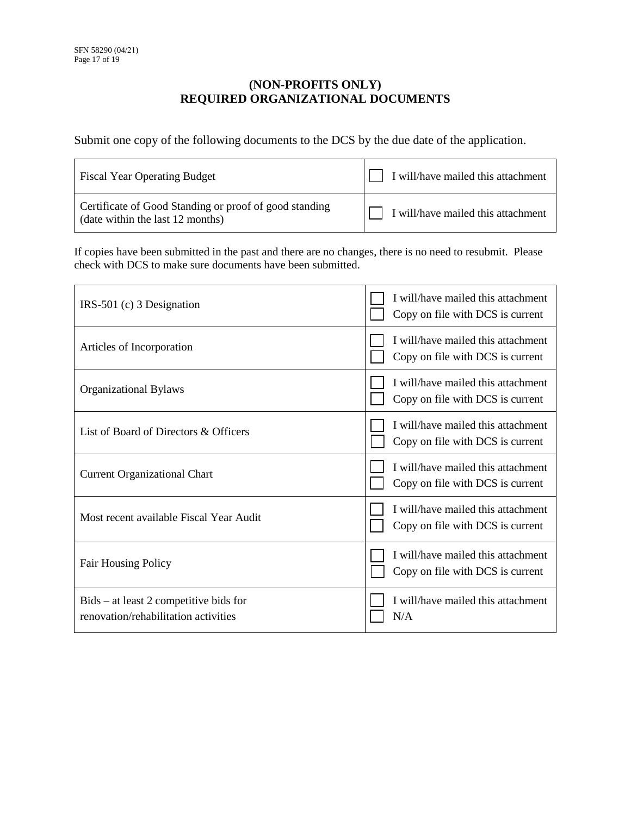### **(NON-PROFITS ONLY) REQUIRED ORGANIZATIONAL DOCUMENTS**

Submit one copy of the following documents to the DCS by the due date of the application.

| <b>Fiscal Year Operating Budget</b>                                                        | I will/have mailed this attachment |
|--------------------------------------------------------------------------------------------|------------------------------------|
| Certificate of Good Standing or proof of good standing<br>(date within the last 12 months) | I will/have mailed this attachment |

If copies have been submitted in the past and there are no changes, there is no need to resubmit. Please check with DCS to make sure documents have been submitted.

| $IRS-501$ (c) 3 Designation                                                      | I will/have mailed this attachment<br>Copy on file with DCS is current |
|----------------------------------------------------------------------------------|------------------------------------------------------------------------|
| Articles of Incorporation                                                        | I will/have mailed this attachment<br>Copy on file with DCS is current |
| <b>Organizational Bylaws</b>                                                     | I will/have mailed this attachment<br>Copy on file with DCS is current |
| List of Board of Directors & Officers                                            | I will/have mailed this attachment<br>Copy on file with DCS is current |
| <b>Current Organizational Chart</b>                                              | I will/have mailed this attachment<br>Copy on file with DCS is current |
| Most recent available Fiscal Year Audit                                          | I will/have mailed this attachment<br>Copy on file with DCS is current |
| <b>Fair Housing Policy</b>                                                       | I will/have mailed this attachment<br>Copy on file with DCS is current |
| $Bids - at least 2 competitive bids for$<br>renovation/rehabilitation activities | I will/have mailed this attachment<br>N/A                              |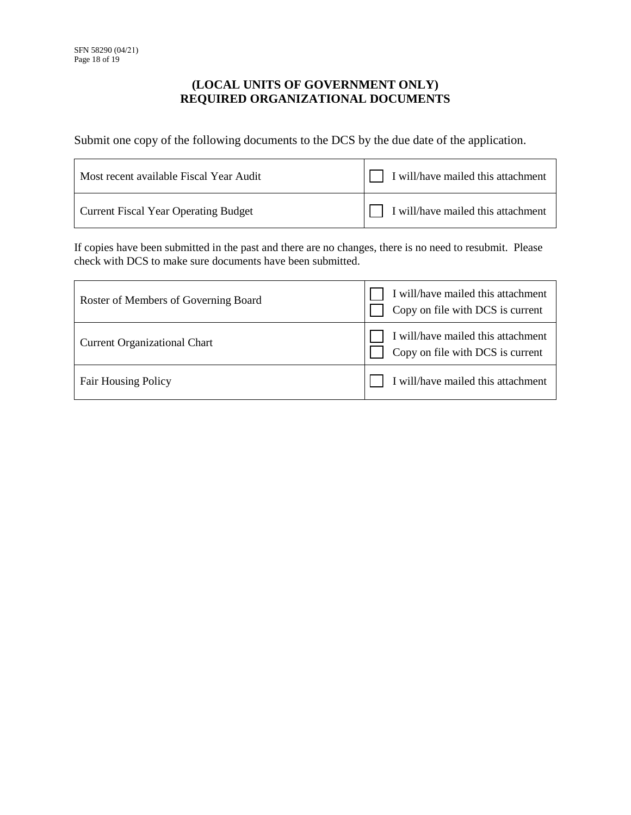### **(LOCAL UNITS OF GOVERNMENT ONLY) REQUIRED ORGANIZATIONAL DOCUMENTS**

Submit one copy of the following documents to the DCS by the due date of the application.

| Most recent available Fiscal Year Audit     | $\Box$ I will/have mailed this attachment |
|---------------------------------------------|-------------------------------------------|
| <b>Current Fiscal Year Operating Budget</b> | $\Box$ I will/have mailed this attachment |

If copies have been submitted in the past and there are no changes, there is no need to resubmit. Please check with DCS to make sure documents have been submitted.

| Roster of Members of Governing Board | I will/have mailed this attachment<br>Copy on file with DCS is current |
|--------------------------------------|------------------------------------------------------------------------|
| <b>Current Organizational Chart</b>  | I will/have mailed this attachment<br>Copy on file with DCS is current |
| <b>Fair Housing Policy</b>           | I will/have mailed this attachment                                     |